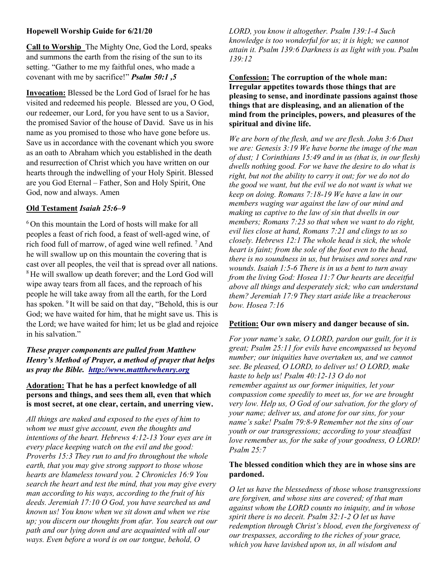## Hopewell Worship Guide for 6/21/20

Call to Worship The Mighty One, God the Lord, speaks and summons the earth from the rising of the sun to its setting. "Gather to me my faithful ones, who made a covenant with me by sacrifice!" Psalm 50:1 ,5

Invocation: Blessed be the Lord God of Israel for he has visited and redeemed his people. Blessed are you, O God, our redeemer, our Lord, for you have sent to us a Savior, the promised Savior of the house of David. Save us in his name as you promised to those who have gone before us. Save us in accordance with the covenant which you swore as an oath to Abraham which you established in the death and resurrection of Christ which you have written on our hearts through the indwelling of your Holy Spirit. Blessed are you God Eternal – Father, Son and Holy Spirit, One God, now and always. Amen

#### Old Testament Isaiah 25:6–9

 $6$ On this mountain the Lord of hosts will make for all peoples a feast of rich food, a feast of well-aged wine, of rich food full of marrow, of aged wine well refined. <sup>7</sup>And he will swallow up on this mountain the covering that is cast over all peoples, the veil that is spread over all nations. <sup>8</sup>He will swallow up death forever; and the Lord God will wipe away tears from all faces, and the reproach of his people he will take away from all the earth, for the Lord has spoken. <sup>9</sup> It will be said on that day, "Behold, this is our God; we have waited for him, that he might save us. This is the Lord; we have waited for him; let us be glad and rejoice in his salvation."

# These prayer components are pulled from Matthew Henry's Method of Prayer, a method of prayer that helps us pray the Bible. http://www.mattthewhenry.org

## Adoration: That he has a perfect knowledge of all persons and things, and sees them all, even that which is most secret, at one clear, certain, and unerring view.

All things are naked and exposed to the eyes of him to whom we must give account, even the thoughts and intentions of the heart. Hebrews 4:12-13 Your eyes are in every place keeping watch on the evil and the good: Proverbs 15:3 They run to and fro throughout the whole earth, that you may give strong support to those whose hearts are blameless toward you. 2 Chronicles 16:9 You search the heart and test the mind, that you may give every man according to his ways, according to the fruit of his deeds. Jeremiah 17:10 O God, you have searched us and known us! You know when we sit down and when we rise up; you discern our thoughts from afar. You search out our path and our lying down and are acquainted with all our ways. Even before a word is on our tongue, behold, O

LORD, you know it altogether. Psalm 139:1-4 Such knowledge is too wonderful for us; it is high; we cannot attain it. Psalm 139:6 Darkness is as light with you. Psalm 139:12

Confession: The corruption of the whole man: Irregular appetites towards those things that are pleasing to sense, and inordinate passions against those things that are displeasing, and an alienation of the mind from the principles, powers, and pleasures of the spiritual and divine life.

We are born of the flesh, and we are flesh. John 3:6 Dust we are: Genesis 3:19 We have borne the image of the man of dust; 1 Corinthians 15:49 and in us (that is, in our flesh) dwells nothing good. For we have the desire to do what is right, but not the ability to carry it out; for we do not do the good we want, but the evil we do not want is what we keep on doing. Romans 7:18-19 We have a law in our members waging war against the law of our mind and making us captive to the law of sin that dwells in our members; Romans 7:23 so that when we want to do right, evil lies close at hand, Romans 7:21 and clings to us so closely. Hebrews 12:1 The whole head is sick, the whole heart is faint; from the sole of the foot even to the head, there is no soundness in us, but bruises and sores and raw wounds. Isaiah 1:5-6 There is in us a bent to turn away from the living God: Hosea 11:7 Our hearts are deceitful above all things and desperately sick; who can understand them? Jeremiah 17:9 They start aside like a treacherous bow. Hosea 7:16

#### Petition: Our own misery and danger because of sin.

For your name's sake, O LORD, pardon our guilt, for it is great; Psalm 25:11 for evils have encompassed us beyond number; our iniquities have overtaken us, and we cannot see. Be pleased, O LORD, to deliver us! O LORD, make haste to help us! Psalm 40:12-13 O do not remember against us our former iniquities, let your compassion come speedily to meet us, for we are brought very low. Help us, O God of our salvation, for the glory of your name; deliver us, and atone for our sins, for your name's sake! Psalm 79:8-9 Remember not the sins of our youth or our transgressions; according to your steadfast love remember us, for the sake of your goodness, O LORD! Psalm 25:7

# The blessed condition which they are in whose sins are pardoned.

O let us have the blessedness of those whose transgressions are forgiven, and whose sins are covered; of that man against whom the LORD counts no iniquity, and in whose spirit there is no deceit. Psalm 32:1-2 O let us have redemption through Christ's blood, even the forgiveness of our trespasses, according to the riches of your grace, which you have lavished upon us, in all wisdom and